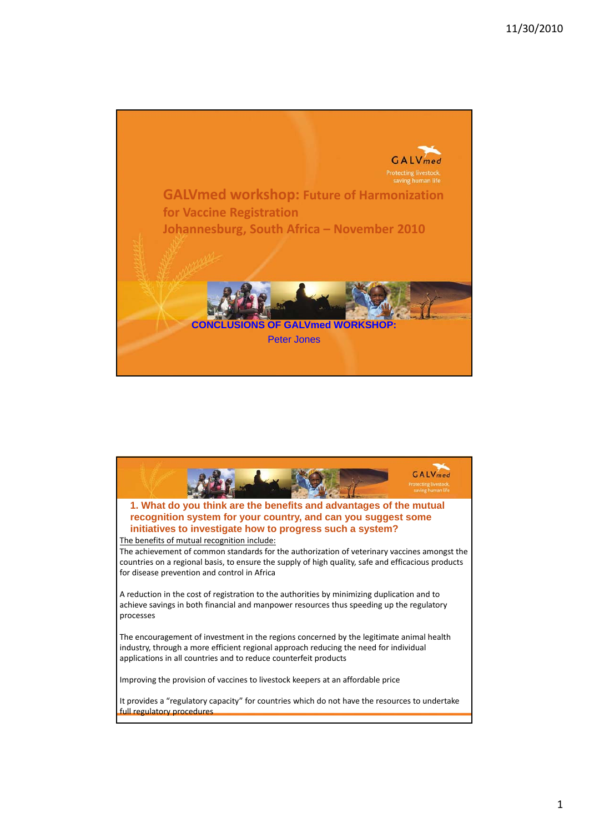

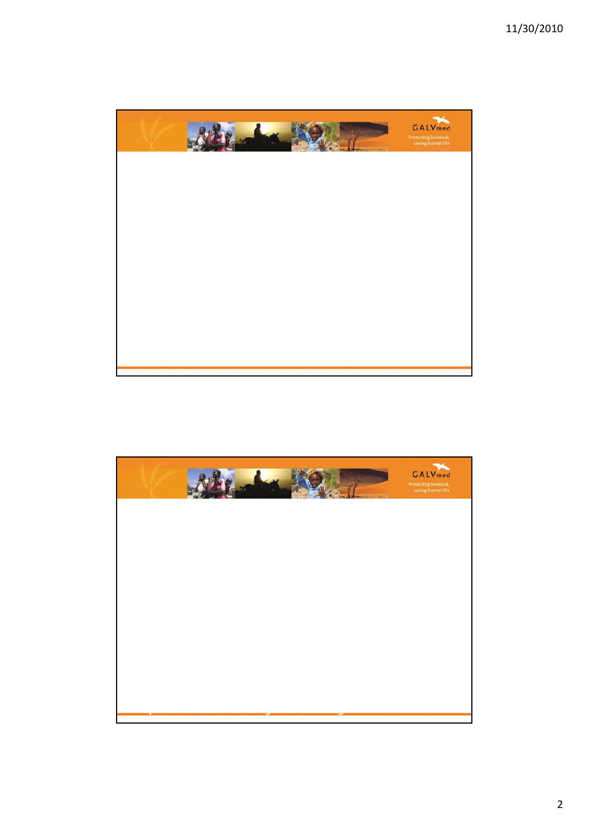

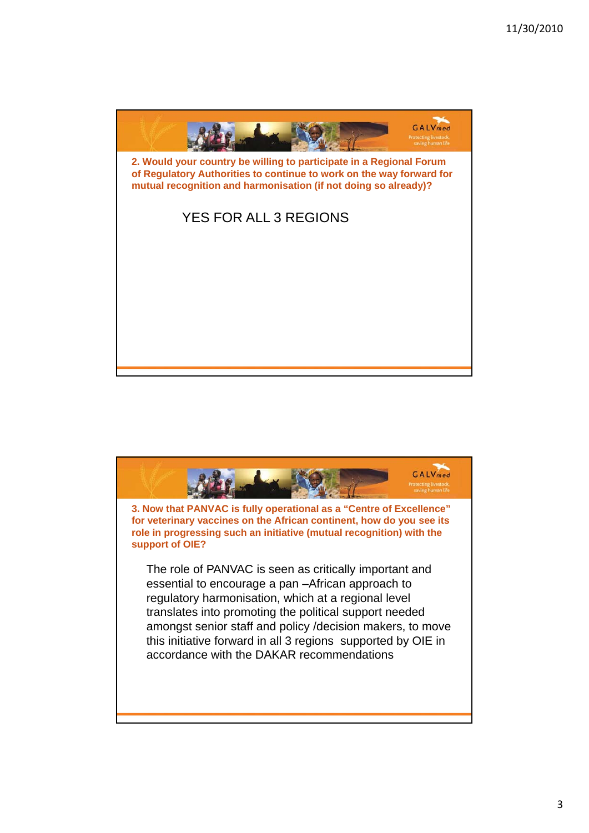